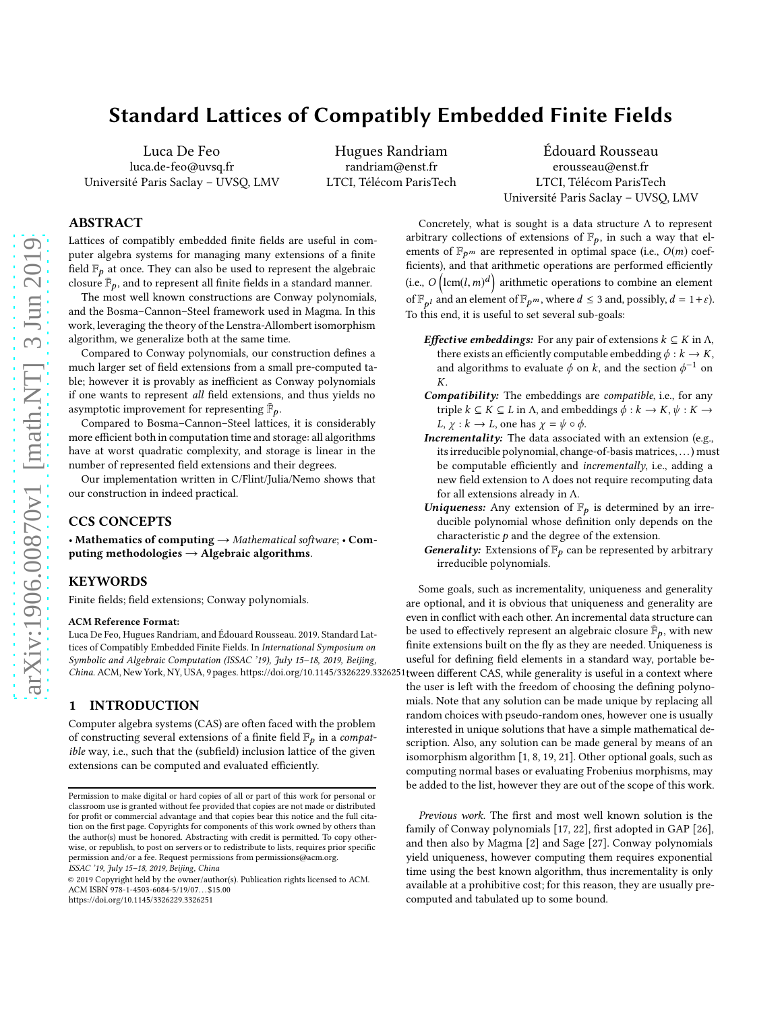# **Standard Lattices of Compatibly Embedded Finite Fields**

Luca De Feo luca.de-feo@uvsq.fr Université Paris Saclay – UVSQ, LMV

Hugues Randriam randriam@enst.fr LTCI, Télécom ParisTech

Édouard Rousseau erousseau@enst.fr LTCI, Télécom ParisTech Université Paris Saclay – UVSQ, LMV

# ABSTRACT

Lattices of compatibly embedded finite fields are useful in computer algebra systems for managing many extensions of a finite field  $\mathbb{F}_p$  at once. They can also be used to represent the algebraic closure  $\bar{\mathbb{F}}_p$ , and to represent all finite fields in a standard manner.

The most well known constructions are Conway polynomials, and the Bosma–Cannon–Steel framework used in Magma. In this work, leveraging the theory of the Lenstra-Allombert isomorphism algorithm, we generalize both at the same time.

Compared to Conway polynomials, our construction defines a much larger set of field extensions from a small pre-computed table; however it is provably as inefficient as Conway polynomials if one wants to represent all field extensions, and thus yields no asymptotic improvement for representing  $\bar{\mathbb{F}}_p$ .

Compared to Bosma–Cannon–Steel lattices, it is considerably more efficient both in computation time and storage: all algorithms have at worst quadratic complexity, and storage is linear in the number of represented field extensions and their degrees.

Our implementation written in C/Flint/Julia/Nemo shows that our construction in indeed practical.

# CCS CONCEPTS

• Mathematics of computing  $\rightarrow$  Mathematical software; • Computing methodologies  $\rightarrow$  Algebraic algorithms.

# **KEYWORDS**

Finite fields; field extensions; Conway polynomials.

#### ACM Reference Format:

Luca De Feo, Hugues Randriam, and Édouard Rousseau. 2019. Standard Lattices of Compatibly Embedded Finite Fields. In International Symposium on Symbolic and Algebraic Computation (ISSAC '19), July 15–18, 2019, Beijing, China. ACM, New York, NY, USA, [9](#page-8-0) pages.<https://doi.org/10.1145/3326229.3326251>

# 1 INTRODUCTION

Computer algebra systems (CAS) are often faced with the problem of constructing several extensions of a finite field  $\mathbb{F}_p$  in a compatible way, i.e., such that the (subfield) inclusion lattice of the given extensions can be computed and evaluated efficiently.

<https://doi.org/10.1145/3326229.3326251>

Concretely, what is sought is a data structure  $\Lambda$  to represent arbitrary collections of extensions of  $\mathbb{F}_p$ , in such a way that elements of  $\mathbb{F}_{p^m}$  are represented in optimal space (i.e.,  $O(m)$  coefficients), and that arithmetic operations are performed efficiently (i.e.,  $O\left(\text{lcm}(l,m)^d\right)$  arithmetic operations to combine an element of  $\mathbb{F}_{p^l}$  and an element of  $\mathbb{F}_{p^m}$ , where  $d \leq 3$  and, possibly,  $d = 1 + \varepsilon$ ). To this end, it is useful to set several sub-goals:

- **Effective embeddings:** For any pair of extensions  $k \subseteq K$  in  $\Lambda$ , there exists an efficiently computable embedding  $\phi : k \to K$ , and algorithms to evaluate  $\phi$  on k, and the section  $\phi^{-1}$  on K.
- Compatibility: The embeddings are compatible, i.e., for any triple  $k \subseteq K \subseteq L$  in  $\Lambda$ , and embeddings  $\phi : k \to K$ ,  $\psi : K \to$ L,  $\chi : k \to L$ , one has  $\chi = \psi \circ \phi$ .
- Incrementality: The data associated with an extension (e.g., its irreducible polynomial, change-of-basis matrices, . . .) must be computable efficiently and incrementally, i.e., adding a new field extension to Λ does not require recomputing data for all extensions already in Λ.
- Uniqueness: Any extension of  $\mathbb{F}_p$  is determined by an irreducible polynomial whose definition only depends on the characteristic  $p$  and the degree of the extension.
- Generality: Extensions of  $\mathbb{F}_p$  can be represented by arbitrary irreducible polynomials.

Some goals, such as incrementality, uniqueness and generality are optional, and it is obvious that uniqueness and generality are even in conflict with each other. An incremental data structure can be used to effectively represent an algebraic closure  $\mathbb{\bar{F}}_p$ , with new finite extensions built on the fly as they are needed. Uniqueness is useful for defining field elements in a standard way, portable between different CAS, while generality is useful in a context where the user is left with the freedom of choosing the defining polynomials. Note that any solution can be made unique by replacing all random choices with pseudo-random ones, however one is usually interested in unique solutions that have a simple mathematical description. Also, any solution can be made general by means of an isomorphism algorithm [\[1](#page-8-1), [8](#page-8-2), [19,](#page-8-3) [21\]](#page-8-4). Other optional goals, such as computing normal bases or evaluating Frobenius morphisms, may be added to the list, however they are out of the scope of this work.

Previous work. The first and most well known solution is the family of Conway polynomials [\[17,](#page-8-5) [22\]](#page-8-6), first adopted in GAP [\[26](#page-8-7)], and then also by Magma [\[2](#page-8-8)] and Sage [\[27](#page-8-9)]. Conway polynomials yield uniqueness, however computing them requires exponential time using the best known algorithm, thus incrementality is only available at a prohibitive cost; for this reason, they are usually precomputed and tabulated up to some bound.

Permission to make digital or hard copies of all or part of this work for personal or classroom use is granted without fee provided that copies are not made or distributed for profit or commercial advantage and that copies bear this notice and the full citation on the first page. Copyrights for components of this work owned by others than the author(s) must be honored. Abstracting with credit is permitted. To copy otherwise, or republish, to post on servers or to redistribute to lists, requires prior specific permission and/or a fee. Request permissions from permissions@acm.org. ISSAC '19, July 15–18, 2019, Beijing, China

<sup>© 2019</sup> Copyright held by the owner/author(s). Publication rights licensed to ACM. ACM ISBN 978-1-4503-6084-5/19/07. . . \$15.00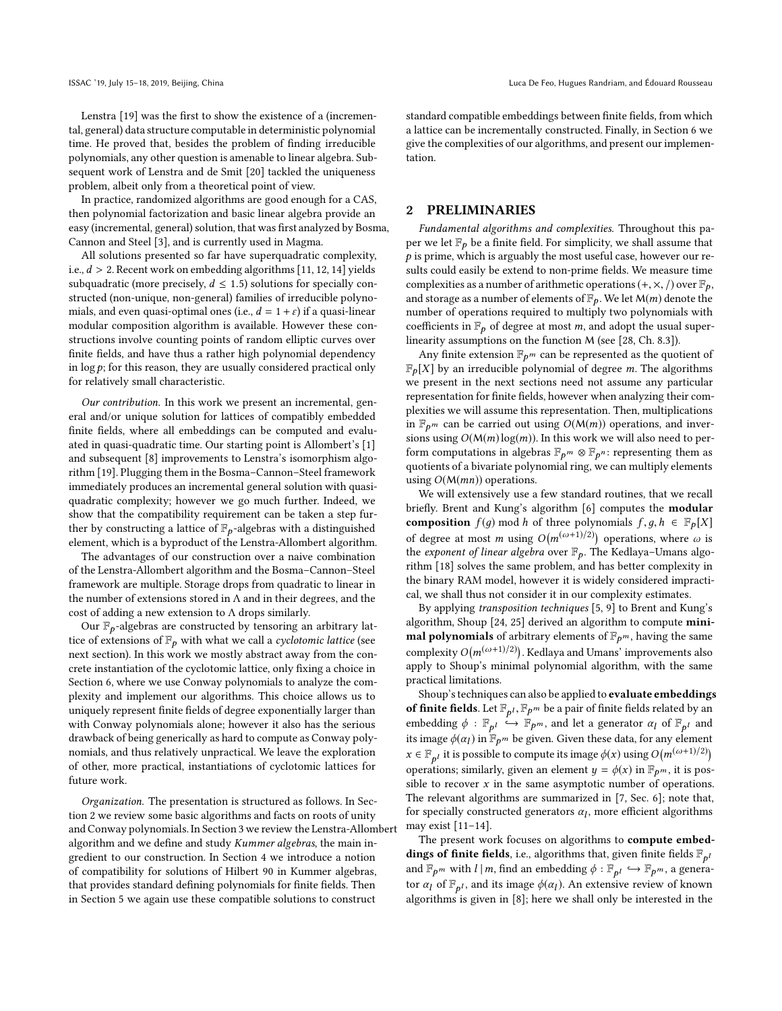Lenstra [\[19](#page-8-3)] was the first to show the existence of a (incremental, general) data structure computable in deterministic polynomial time. He proved that, besides the problem of finding irreducible polynomials, any other question is amenable to linear algebra. Subsequent work of Lenstra and de Smit [\[20](#page-8-10)] tackled the uniqueness problem, albeit only from a theoretical point of view.

In practice, randomized algorithms are good enough for a CAS, then polynomial factorization and basic linear algebra provide an easy (incremental, general) solution, that was first analyzed by Bosma, Cannon and Steel [\[3](#page-8-11)], and is currently used in Magma.

All solutions presented so far have superquadratic complexity, i.e.,  $d > 2$ . Recent work on embedding algorithms [\[11,](#page-8-12) [12,](#page-8-13) [14\]](#page-8-14) yields subquadratic (more precisely,  $d \leq 1.5$ ) solutions for specially constructed (non-unique, non-general) families of irreducible polynomials, and even quasi-optimal ones (i.e.,  $d = 1 + \varepsilon$ ) if a quasi-linear modular composition algorithm is available. However these constructions involve counting points of random elliptic curves over finite fields, and have thus a rather high polynomial dependency in  $\log p$ ; for this reason, they are usually considered practical only for relatively small characteristic.

Our contribution. In this work we present an incremental, general and/or unique solution for lattices of compatibly embedded finite fields, where all embeddings can be computed and evaluated in quasi-quadratic time. Our starting point is Allombert's [\[1\]](#page-8-1) and subsequent [\[8\]](#page-8-2) improvements to Lenstra's isomorphism algorithm [\[19\]](#page-8-3). Plugging them in the Bosma–Cannon–Steel framework immediately produces an incremental general solution with quasiquadratic complexity; however we go much further. Indeed, we show that the compatibility requirement can be taken a step further by constructing a lattice of  $\mathbb{F}_p$ -algebras with a distinguished element, which is a byproduct of the Lenstra-Allombert algorithm.

The advantages of our construction over a naive combination of the Lenstra-Allombert algorithm and the Bosma–Cannon–Steel framework are multiple. Storage drops from quadratic to linear in the number of extensions stored in  $\Lambda$  and in their degrees, and the cost of adding a new extension to Λ drops similarly.

Our  $\mathbb{F}_{p}$ -algebras are constructed by tensoring an arbitrary lattice of extensions of  $\mathbb{F}_p$  with what we call a *cyclotomic lattice* (see next section). In this work we mostly abstract away from the concrete instantiation of the cyclotomic lattice, only fixing a choice in Section [6,](#page-7-0) where we use Conway polynomials to analyze the complexity and implement our algorithms. This choice allows us to uniquely represent finite fields of degree exponentially larger than with Conway polynomials alone; however it also has the serious drawback of being generically as hard to compute as Conway polynomials, and thus relatively unpractical. We leave the exploration of other, more practical, instantiations of cyclotomic lattices for future work.

Organization. The presentation is structured as follows. In Section [2](#page-1-0) we review some basic algorithms and facts on roots of unity and Conway polynomials. In Section [3](#page-2-0) we review the Lenstra-Allombert algorithm and we define and study Kummer algebras, the main ingredient to our construction. In Section [4](#page-4-0) we introduce a notion of compatibility for solutions of Hilbert 90 in Kummer algebras, that provides standard defining polynomials for finite fields. Then in Section [5](#page-5-0) we again use these compatible solutions to construct

standard compatible embeddings between finite fields, from which a lattice can be incrementally constructed. Finally, in Section [6](#page-7-0) we give the complexities of our algorithms, and present our implementation.

# <span id="page-1-0"></span>2 PRELIMINARIES

Fundamental algorithms and complexities. Throughout this paper we let  $\mathbb{F}_p$  be a finite field. For simplicity, we shall assume that  $p$  is prime, which is arguably the most useful case, however our results could easily be extend to non-prime fields. We measure time complexities as a number of arithmetic operations  $(+, \times, /)$  over  $\mathbb{F}_p$ , and storage as a number of elements of  $\mathbb{F}_p$ . We let  $\mathcal{M}(m)$  denote the number of operations required to multiply two polynomials with coefficients in  $\mathbb{F}_p$  of degree at most m, and adopt the usual superlinearity assumptions on the function M (see [\[28,](#page-8-15) Ch. 8.3]).

Any finite extension  $\mathbb{F}_{p^m}$  can be represented as the quotient of  $\mathbb{F}_p[X]$  by an irreducible polynomial of degree *m*. The algorithms we present in the next sections need not assume any particular representation for finite fields, however when analyzing their complexities we will assume this representation. Then, multiplications in  $\mathbb{F}_{p^m}$  can be carried out using  $O(M(m))$  operations, and inversions using  $O(M(m) \log(m))$ . In this work we will also need to perform computations in algebras  $\mathbb{F}_{p^m}\otimes\mathbb{F}_{p^n}$ : representing them as quotients of a bivariate polynomial ring, we can multiply elements using  $O(M(mn))$  operations.

We will extensively use a few standard routines, that we recall briefly. Brent and Kung's algorithm [\[6](#page-8-16)] computes the modular composition  $f(q)$  mod h of three polynomials  $f, q, h \in \mathbb{F}_p[X]$ of degree at most m using  $O(m^{(\omega+1)/2)})$  operations, where  $\omega$  is the exponent of linear algebra over  $\mathbb{F}_p$ . The Kedlaya-Umans algorithm [\[18\]](#page-8-17) solves the same problem, and has better complexity in the binary RAM model, however it is widely considered impractical, we shall thus not consider it in our complexity estimates.

By applying transposition techniques [\[5,](#page-8-18) [9\]](#page-8-19) to Brent and Kung's algorithm, Shoup [\[24,](#page-8-20) [25](#page-8-21)] derived an algorithm to compute minimal polynomials of arbitrary elements of  $\mathbb{F}_{p^m}$ , having the same complexity  $O(m^{(\omega+1)/2)}$ ). Kedlaya and Umans' improvements also apply to Shoup's minimal polynomial algorithm, with the same practical limitations.

Shoup's techniques can also be applied to evaluate embeddings **of finite fields**. Let  $\mathbb{F}_{p^l}, \mathbb{F}_{p^m}$  be a pair of finite fields related by an embedding  $\phi : \mathbb{F}_{p^l} \stackrel{\iota}{\hookrightarrow} \mathbb{F}_{p^m}$ , and let a generator  $\alpha_l$  of  $\mathbb{F}_{p^l}$  and its image  $\phi(\alpha_l)$  in  $\mathbb{F}_{p^m}$  be given. Given these data, for any element  $x \in \mathbb{F}_{p^l}$  it is possible to compute its image  $\phi(x)$  using  $O(m^{(\omega+1)/2})$ operations; similarly, given an element  $y = \phi(x)$  in  $\mathbb{F}_{p^m}$ , it is possible to recover  $x$  in the same asymptotic number of operations. The relevant algorithms are summarized in [\[7](#page-8-22), Sec. 6]; note that, for specially constructed generators  $\alpha_l$ , more efficient algorithms may exist  $[11-14]$ .

The present work focuses on algorithms to compute embeddings of finite fields, i.e., algorithms that, given finite fields  $\mathbb{F}_{p^l}$ and  $\mathbb{F}_{p^m}$  with  $l \mid m$ , find an embedding  $\phi : \mathbb{F}_{p^l} \hookrightarrow \mathbb{F}_{p^m}$ , a generator  $\alpha_l$  of  $\mathbb{F}_{p^l}$ , and its image  $\phi(\alpha_l)$ . An extensive review of known algorithms is given in [\[8](#page-8-2)]; here we shall only be interested in the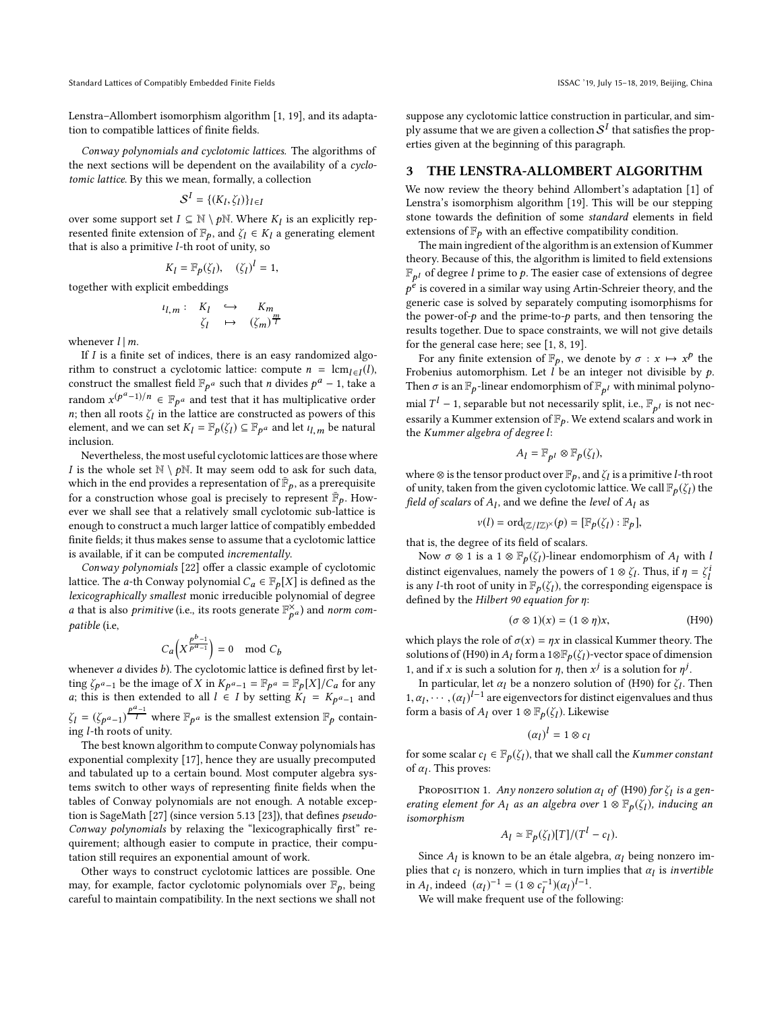Lenstra–Allombert isomorphism algorithm [\[1](#page-8-1), [19\]](#page-8-3), and its adaptation to compatible lattices of finite fields.

Conway polynomials and cyclotomic lattices. The algorithms of the next sections will be dependent on the availability of a cyclotomic lattice. By this we mean, formally, a collection

$$
\mathcal{S}^I = \{(K_l, \zeta_l)\}_{l \in I}
$$

over some support set  $I \subseteq \mathbb{N} \setminus p\mathbb{N}$ . Where  $K_l$  is an explicitly represented finite extension of  $\mathbb{F}_p$ , and  $\zeta_l \in K_l$  a generating element that is also a primitive  $l$ -th root of unity, so

$$
K_l = \mathbb{F}_p(\zeta_l), \quad (\zeta_l)^l = 1,
$$

together with explicit embeddings

$$
\iota_{l,m}: K_l \hookrightarrow K_m
$$
  

$$
\zeta_l \mapsto (\zeta_m)^{\frac{m}{l}}
$$

whenever  $l \mid m$ .

If  $I$  is a finite set of indices, there is an easy randomized algorithm to construct a cyclotomic lattice: compute  $n = \text{lcm}_{l \in I}(l)$ , construct the smallest field  $\mathbb{F}_{p^a}$  such that *n* divides  $p^a - 1$ , take a random  $x^{(p^a-1)/n} \in \mathbb{F}_{p^a}$  and test that it has multiplicative order *n*; then all roots  $\zeta_l$  in the lattice are constructed as powers of this element, and we can set  $K_l = \mathbb{F}_p(\zeta_l) \subseteq \mathbb{F}_{p^a}$  and let  $\iota_{l,m}$  be natural inclusion.

Nevertheless, the most useful cyclotomic lattices are those where I is the whole set  $\mathbb{N} \setminus p\mathbb{N}$ . It may seem odd to ask for such data, which in the end provides a representation of  $\mathbb{\bar{F}}_p$ , as a prerequisite for a construction whose goal is precisely to represent  $\bar{\mathbb{F}}_p$ . However we shall see that a relatively small cyclotomic sub-lattice is enough to construct a much larger lattice of compatibly embedded finite fields; it thus makes sense to assume that a cyclotomic lattice is available, if it can be computed incrementally.

Conway polynomials [\[22](#page-8-6)] offer a classic example of cyclotomic lattice. The *a*-th Conway polynomial  $C_a \in \mathbb{F}_p[X]$  is defined as the lexicographically smallest monic irreducible polynomial of degree *a* that is also *primitive* (i.e., its roots generate  $\mathbb{F}_{p^a}^{\times}$ ) and *norm* compatible (i.e,

$$
C_a\left(X^{\frac{p^b-1}{p^a-1}}\right) = 0 \mod C_b
$$

whenever  $a$  divides  $b$ ). The cyclotomic lattice is defined first by letting  $\zeta_{p^a-1}$  be the image of X in  $K_{p^a-1} = \mathbb{F}_{p^a} = \mathbb{F}_p[X]/C_a$  for any a; this is then extended to all  $l \in I$  by setting  $K_l = K_{p^a-1}$  and  $\zeta_l = (\zeta_{p^a-1})^{\frac{p^a-1}{l}}$  where  $\mathbb{F}_{p^a}$  is the smallest extension  $\mathbb{F}_p$  containing l-th roots of unity.

The best known algorithm to compute Conway polynomials has exponential complexity [\[17\]](#page-8-5), hence they are usually precomputed and tabulated up to a certain bound. Most computer algebra systems switch to other ways of representing finite fields when the tables of Conway polynomials are not enough. A notable exception is SageMath [\[27](#page-8-9)] (since version 5.13 [\[23\]](#page-8-23)), that defines pseudo-Conway polynomials by relaxing the "lexicographically first" requirement; although easier to compute in practice, their computation still requires an exponential amount of work.

Other ways to construct cyclotomic lattices are possible. One may, for example, factor cyclotomic polynomials over  $\mathbb{F}_p$ , being careful to maintain compatibility. In the next sections we shall not suppose any cyclotomic lattice construction in particular, and simply assume that we are given a collection  $\mathcal{S}^{I}$  that satisfies the prop-

#### 3 THE LENSTRA-ALLOMBERT ALGORITHM

<span id="page-2-0"></span>erties given at the beginning of this paragraph.

We now review the theory behind Allombert's adaptation [\[1\]](#page-8-1) of Lenstra's isomorphism algorithm [\[19\]](#page-8-3). This will be our stepping stone towards the definition of some standard elements in field extensions of  $\mathbb{F}_p$  with an effective compatibility condition.

The main ingredient of the algorithm is an extension of Kummer theory. Because of this, the algorithm is limited to field extensions  $\mathbb{F}_{p^l}$  of degree  $l$  prime to  $p$ . The easier case of extensions of degree  $p^{\bm{\dot{e}}}$  is covered in a similar way using Artin-Schreier theory, and the generic case is solved by separately computing isomorphisms for the power-of- $p$  and the prime-to- $p$  parts, and then tensoring the results together. Due to space constraints, we will not give details for the general case here; see [\[1,](#page-8-1) [8,](#page-8-2) [19](#page-8-3)].

For any finite extension of  $\mathbb{F}_p$ , we denote by  $\sigma : x \mapsto x^p$  the Frobenius automorphism. Let  $l$  be an integer not divisible by  $p$ . Then  $\sigma$  is an  $\mathbb{F}_p$ -linear endomorphism of  $\mathbb{F}_{p^l}$  with minimal polynomial  $T^l$  – 1, separable but not necessarily split, i.e.,  $\mathbb{F}_{p^l}$  is not necessarily a Kummer extension of  $\mathbb{F}_p$ . We extend scalars and work in the Kummer algebra of degree l:

$$
A_l = \mathbb{F}_{p^l} \otimes \mathbb{F}_p(\zeta_l),
$$

where  $\otimes$  is the tensor product over  $\mathbb{F}_p$ , and  $\zeta_l$  is a primitive *l*-th root of unity, taken from the given cyclotomic lattice. We call  $\mathbb{F}_p(\zeta_l)$  the field of scalars of  $A_l$ , and we define the level of  $A_l$  as

$$
v(l) = \mathrm{ord}_{(\mathbb{Z}/l\mathbb{Z})^{\times}}(p) = [\mathbb{F}_p(\zeta_l) : \mathbb{F}_p],
$$

that is, the degree of its field of scalars.

Now  $\sigma \otimes 1$  is a 1  $\otimes \mathbb{F}_p(\zeta_l)$ -linear endomorphism of  $A_l$  with l distinct eigenvalues, namely the powers of 1 ⊗  $\zeta_l$ . Thus, if  $\eta = \zeta_l^i$ is any *l*-th root of unity in  $\mathbb{F}_p(\zeta_l)$ , the corresponding eigenspace is defined by the Hilbert 90 equation for η:

<span id="page-2-1"></span>
$$
(\sigma \otimes 1)(x) = (1 \otimes \eta)x, \tag{H90}
$$

which plays the role of  $\sigma(x) = \eta x$  in classical Kummer theory. The solutions of [\(H90\)](#page-2-1) in  $A_l$  form a 1⊗ $\mathbb{F}_p(\zeta_l)$ -vector space of dimension 1, and if x is such a solution for  $\eta$ , then  $x^j$  is a solution for  $\eta^j$ .

In particular, let  $\alpha_l$  be a nonzero solution of [\(H90\)](#page-2-1) for  $\zeta_l$ . Then  $1, \alpha_l, \cdots, (\alpha_l)^{l-1}$  are eigenvectors for distinct eigenvalues and thus form a basis of  $A_l$  over  $1\otimes\mathbb{F}_p(\zeta_l).$  Likewise

$$
(\alpha_l)^l = 1 \otimes c_l
$$

for some scalar  $c_l \in \mathbb{F}_p(\zeta_l)$ , that we shall call the *Kummer constant* of  $\alpha_l$ . This proves:

<span id="page-2-2"></span>Proposition 1. Any nonzero solution  $\alpha_l$  of [\(H90\)](#page-2-1) for  $\zeta_l$  is a generating element for  $A_l$  as an algebra over  $1 \otimes \mathbb{F}_p(\zeta_l)$ , inducing an isomorphism

$$
A_l \simeq \mathbb{F}_p(\zeta_l)[T]/(T^l - c_l).
$$

Since  $A_l$  is known to be an étale algebra,  $\alpha_l$  being nonzero implies that  $c_l$  is nonzero, which in turn implies that  $\alpha_l$  is invertible in A<sub>l</sub>, indeed  $(\alpha_l)^{-1} = (1 \otimes c_l^{-1})(\alpha_l)^{l-1}$ .

We will make frequent use of the following: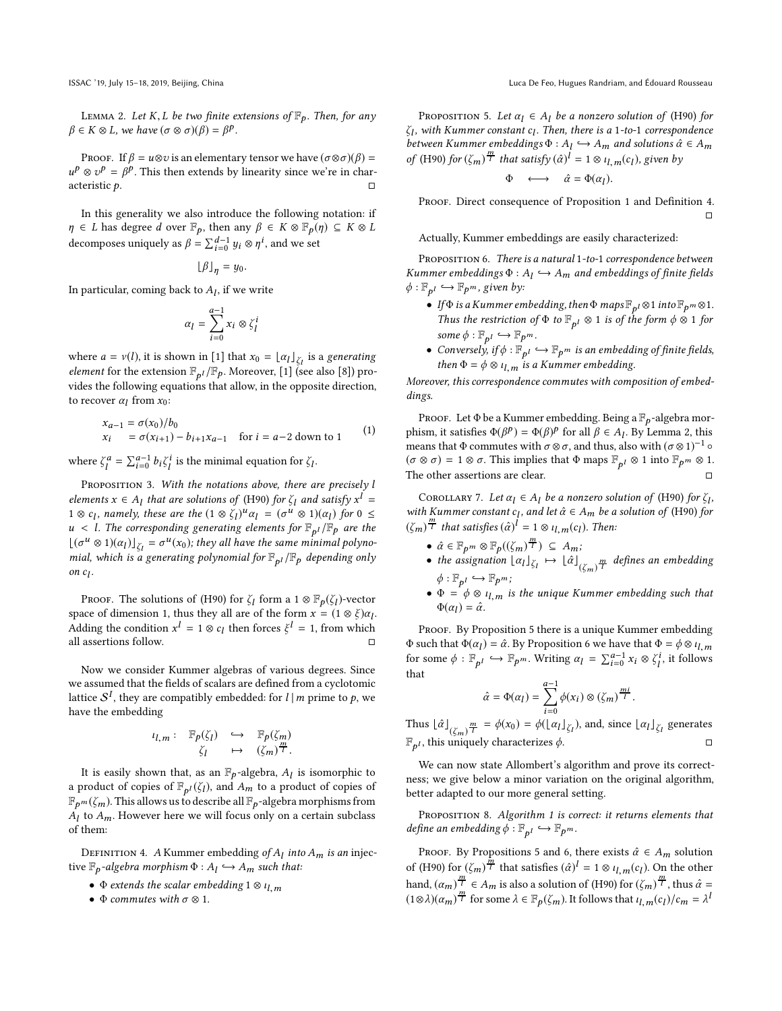<span id="page-3-1"></span>LEMMA 2. Let K, L be two finite extensions of  $\mathbb{F}_p$ . Then, for any  $\beta \in K \otimes L$ , we have  $(\sigma \otimes \sigma)(\beta) = \beta^p$ .

Proof. If  $\beta = u \otimes v$  is an elementary tensor we have  $(\sigma \otimes \sigma)(\beta) =$  $u^p \otimes v^p = \beta^p$ . This then extends by linearity since we're in characteristic  $p$ .

In this generality we also introduce the following notation: if  $\eta \in L$  has degree d over  $\mathbb{F}_p$ , then any  $\beta \in K \otimes \mathbb{F}_p(\eta) \subseteq K \otimes L$ decomposes uniquely as  $\beta = \sum_{i=0}^{d-1} y_i \otimes \eta^i$ , and we set

$$
\lfloor \beta \rfloor_{\eta} = y_0.
$$

In particular, coming back to  $A<sub>l</sub>$ , if we write

$$
\alpha_l = \sum_{i=0}^{a-1} x_i \otimes \zeta_l^i
$$

where  $a = v(l)$ , it is shown in [\[1\]](#page-8-1) that  $x_0 = \lfloor \alpha_l \rfloor_{\zeta_l}$  is a generating *element* for the extension  $\mathbb{F}_{p^l}/\mathbb{F}_p$ . Moreover, [\[1\]](#page-8-1) (see also [\[8\]](#page-8-2)) provides the following equations that allow, in the opposite direction, to recover  $\alpha_l$  from  $x_0$ :

<span id="page-3-6"></span>
$$
x_{a-1} = \sigma(x_0)/b_0
$$
  
\n
$$
x_i = \sigma(x_{i+1}) - b_{i+1}x_{a-1}
$$
 for  $i = a-2$  down to 1 (1)

where  $\zeta_l^a = \sum_{i=0}^{a-1} b_i \zeta_l^i$  is the minimal equation for  $\zeta_l$ .

<span id="page-3-5"></span>PROPOSITION 3. With the notations above, there are precisely l elements  $x \in A_l$  that are solutions of [\(H90\)](#page-2-1) for  $\zeta_l$  and satisfy  $x^l =$  $1 \otimes c_l$ , namely, these are the  $(1 \otimes \zeta_l)^u \alpha_l = (\sigma^u \otimes 1)(\alpha_l)$  for  $0 \leq$  $u < l$ . The corresponding generating elements for  $\mathbb{F}_{p^l}/\mathbb{F}_p$  are the  $\lfloor (\sigma^u \otimes 1)(\alpha_l) \rfloor_{\zeta_l} = \sigma^u(x_0)$ ; they all have the same minimal polynomial, which is a generating polynomial for  $\mathbb{F}_{p^l}/\mathbb{F}_p$  depending only on  $c_l$ .

PROOF. The solutions of [\(H90\)](#page-2-1) for  $\zeta_l$  form a 1  $\otimes \mathbb{F}_p(\zeta_l)$ -vector space of dimension 1, thus they all are of the form  $x = (1 \otimes \xi)\alpha_l$ . Adding the condition  $x^l = 1 \otimes c_l$  then forces  $\xi^l = 1$ , from which all assertions follow.

Now we consider Kummer algebras of various degrees. Since we assumed that the fields of scalars are defined from a cyclotomic lattice  $\mathcal{S}^I$ , they are compatibly embedded: for  $l\,|\,m$  prime to  $p$ , we have the embedding

$$
\iota_{l,m} : \mathbb{F}_p(\zeta_l) \longleftrightarrow \mathbb{F}_p(\zeta_m)
$$

$$
\zeta_l \mapsto (\zeta_m)^{\frac{m}{l}}.
$$

It is easily shown that, as an  $\mathbb{F}_p$ -algebra,  $A_l$  is isomorphic to a product of copies of  $\mathbb{F}_{p^l}(\zeta_l)$ , and  $A_m$  to a product of copies of  $\mathbb{F}_{p^m}(\zeta_m)$ . This allows us to describe all  $\mathbb{F}_p$ -algebra morphisms from  $A_l$  to  $A_m$ . However here we will focus only on a certain subclass of them:

<span id="page-3-0"></span>DEFINITION 4. A Kummer embedding of  $A_l$  into  $A_m$  is an injective  $\mathbb{F}_p$ -algebra morphism  $\Phi: A_l \hookrightarrow A_m$  such that:

- $\Phi$  extends the scalar embedding  $1 \otimes \iota_{l,m}$
- $\Phi$  commutes with  $\sigma \otimes 1$ .

<span id="page-3-2"></span>PROPOSITION 5. Let  $\alpha_l \in A_l$  be a nonzero solution of [\(H90\)](#page-2-1) for  $\zeta_l$ , with Kummer constant  $c_l.$  Then, there is a 1-to-1 correspondence between Kummer embeddings  $\Phi: A_l \hookrightarrow A_m$  and solutions  $\hat{\alpha} \in A_m$ of [\(H90\)](#page-2-1) for  $(\zeta_m)^{\frac{m}{l}}$  that satisfy  $(\hat{\alpha})^{\overline{l}} = 1 \otimes \overline{\iota_{l,m}}(c_l)$ , given by

$$
\Phi\quad\longleftrightarrow\quad\hat{\alpha}=\Phi(\alpha_l).
$$

PROOF. Direct consequence of Proposition [1](#page-2-2) and Definition [4.](#page-3-0)  $\Box$ 

Actually, Kummer embeddings are easily characterized:

<span id="page-3-3"></span>PROPOSITION 6. There is a natural 1-to-1 correspondence between Kummer embeddings  $\Phi: A_l \hookrightarrow A_m$  and embeddings of finite fields  $\phi: \mathbb{F}_{p^l} \hookrightarrow \mathbb{F}_{p^m}$ , given by:

- If $\Phi$  is a Kummer embedding, then  $\Phi$  maps  $\mathbb{F}_{p^l} \otimes 1$  into  $\mathbb{F}_{p^m} \otimes 1$ . Thus the restriction of  $\Phi$  to  $\mathbb{F}_{p^l} \otimes 1$  is of the form  $\phi \otimes 1$  for some  $\phi: \mathbb{F}_{p^l} \hookrightarrow \mathbb{F}_{p^m}$ .
- Conversely, if  $\phi: \mathbb{F}_{p^l} \hookrightarrow \mathbb{F}_{p^m}$  is an embedding of finite fields, then  $\Phi = \phi \otimes \iota_{l,m}$  is a Kummer embedding.

Moreover, this correspondence commutes with composition of embeddings.

PROOF. Let  $\Phi$  be a Kummer embedding. Being a  $\mathbb{F}_p$ -algebra morphism, it satisfies  $\Phi(\beta^p) = \Phi(\beta)^p$  for all  $\beta \in A_l$ . By Lemma [2,](#page-3-1) this means that  $\Phi$  commutes with  $\sigma \otimes \sigma$ , and thus, also with  $(\sigma \otimes 1)^{-1}$   $\circ$  $(\sigma \otimes \sigma) = 1 \otimes \sigma$ . This implies that  $\Phi$  maps  $\mathbb{F}_{p^l} \otimes 1$  into  $\mathbb{F}_{p^m} \otimes 1$ . The other assertions are clear.

<span id="page-3-4"></span>COROLLARY 7. Let  $\alpha_l \in A_l$  be a nonzero solution of [\(H90\)](#page-2-1) for  $\zeta_l$ , with Kummer constant  $c_l$ , and let  $\hat{\alpha} \in A_m$  be a solution of [\(H90\)](#page-2-1) for  $(\zeta_m)^{\frac{m}{l}}$  that satisfies  $(\hat{\alpha})^{\hat{l}} = 1 \otimes \iota_{l,m}(c_l)$ . Then:

- $\hat{\alpha} \in \mathbb{F}_{p^m} \otimes \mathbb{F}_p((\zeta_m)^{\frac{m}{l}}) \subseteq A_m;$
- the assignation  $\lfloor \alpha_l \rfloor_{\zeta_l} \mapsto \lfloor \hat{\alpha} \rfloor_{(\zeta_m) \overline{T}}$  defines an embedding  $\phi: \mathbb{F}_{p^l} \hookrightarrow \mathbb{F}_{p^m}$ ;
- $\Phi = \Phi \otimes \iota_{l,m}$  is the unique Kummer embedding such that  $\Phi(\alpha_l) = \hat{\alpha}.$

PROOF. By Proposition [5](#page-3-2) there is a unique Kummer embedding Φ such that  $\Phi(\alpha_l) = \hat{\alpha}$ . By Proposition [6](#page-3-3) we have that  $\Phi = \phi \otimes \iota_{l,m}$ for some  $\phi : \mathbb{F}_{p^l} \hookrightarrow \mathbb{F}_{p^m}$ . Writing  $\alpha_l = \sum_{i=0}^{a-1} x_i \otimes \zeta_l^i$ , it follows that

$$
\hat{\alpha} = \Phi(\alpha_l) = \sum_{i=0}^{a-1} \phi(x_i) \otimes (\zeta_m)^{\frac{mi}{l}}.
$$

Thus  $\lfloor \hat{\alpha} \rfloor_{(\zeta_m)} \frac{m}{l} = \phi(x_0) = \phi(\lfloor \alpha_l \rfloor_{\zeta_l})$ , and, since  $\lfloor \alpha_l \rfloor_{\zeta_l}$  generates  $\mathbb{F}_{p^l}$ , this uniquely characterizes  $\phi$ .

We can now state Allombert's algorithm and prove its correctness; we give below a minor variation on the original algorithm, better adapted to our more general setting.

PROPOSITION 8. Algorithm [1](#page-4-1) is correct: it returns elements that define an embedding  $\phi : \mathbb{F}_{p^l} \hookrightarrow \mathbb{F}_{p^m}$ .

PROOF. By Propositions [5](#page-3-2) and [6,](#page-3-3) there exists  $\hat{\alpha} \in A_m$  solution of [\(H90\)](#page-2-1) for  $(\zeta_m)^{\frac{\hat{n}}{l}}$  that satisfies  $(\hat{\alpha})^l = 1 \otimes \iota_{l,m}(c_l)$ . On the other hand,  $(\alpha_m)^{\frac{m}{l}} \in A_m$  is also a solution of [\(H90\)](#page-2-1) for  $(\zeta_m)^{\frac{m}{l}}$ , thus  $\hat{\alpha} =$  $(1 \otimes \lambda)(\alpha_m)^{\frac{m}{l}}$  for some  $\lambda \in \mathbb{F}_p(\zeta_m)$ . It follows that  $\iota_{l,m}(c_l)/c_m = \lambda^l$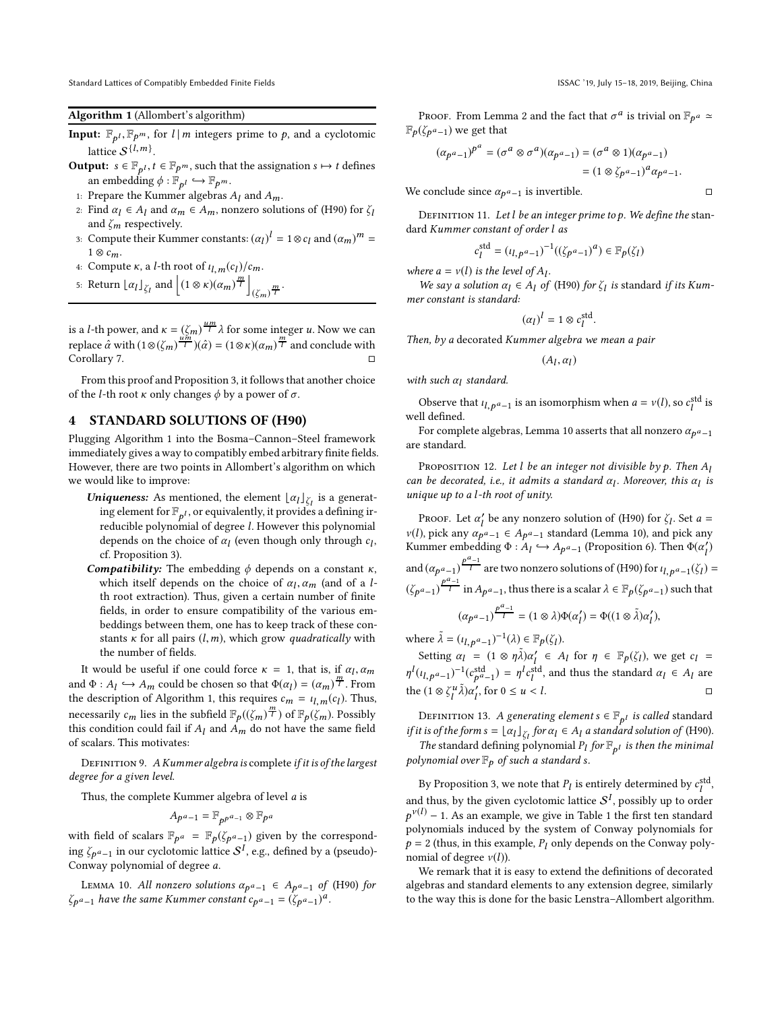<span id="page-4-1"></span>Standard Lattices of Compatibly Embedded Finite Fields ISSAC '19, July 15-18, 2019, Beijing, China

#### Algorithm 1 (Allombert's algorithm)

- **Input:**  $\mathbb{F}_{p^l}, \mathbb{F}_{p^m}$ , for  $l \mid m$  integers prime to p, and a cyclotomic lattice  $S^{\{l,m\}}$ .
- **Output:**  $s \in \mathbb{F}_{p^l}, t \in \mathbb{F}_{p^m}$ , such that the assignation  $s \mapsto t$  defines an embedding  $\phi: \mathbb{F}_{p^l} \hookrightarrow \mathbb{F}_{p^m}.$
- 1: Prepare the Kummer algebras  $A_l$  and  $A_m$ .
- 2: Find  $\alpha_l \in A_l$  and  $\alpha_m \in A_m$ , nonzero solutions of [\(H90\)](#page-2-1) for  $\zeta_l$ and  $\zeta_m$  respectively.
- 3: Compute their Kummer constants:  $(\alpha_l)^l = 1 \otimes c_l$  and  $(\alpha_m)^m =$  $1 \otimes c_m$ .
- 4: Compute  $\kappa$ , a *l*-th root of  $\iota_{l,m}(c_l)/c_m$ .
- 5: Return  $\lfloor \alpha_l \rfloor_{\zeta_l}$  and  $\left| (1 \otimes \kappa)(\alpha_m)^{\frac{m}{l}} \right|$  $\left(\zeta_m\right)^{\frac{m}{l}}$ .

is a *l*-th power, and  $\kappa = (\zeta_m)^{\frac{um}{l}} \lambda$  for some integer *u*. Now we can replace  $\hat{\alpha}$  with  $(1 \otimes (\zeta_m)^{\frac{u m}{l}})(\hat{\alpha}) = (1 \otimes \kappa)(\alpha_m)^{\frac{m}{l}}$  and conclude with Corollary [7.](#page-3-4)

From this proof and Proposition [3,](#page-3-5) it follows that another choice of the *l*-th root  $\kappa$  only changes  $\phi$  by a power of  $\sigma$ .

# <span id="page-4-0"></span>4 STANDARD SOLUTIONS OF (H90)

Plugging Algorithm [1](#page-4-1) into the Bosma–Cannon–Steel framework immediately gives a way to compatibly embed arbitrary finite fields. However, there are two points in Allombert's algorithm on which we would like to improve:

- **Uniqueness:** As mentioned, the element  $\lfloor \alpha_l \rfloor_{\zeta_l}$  is a generating element for  $\mathbb{F}_{p^l}$ , or equivalently, it provides a defining irreducible polynomial of degree l. However this polynomial depends on the choice of  $\alpha_l$  (even though only through  $c_l$ , cf. Proposition [3\)](#page-3-5).
- **Compatibility:** The embedding  $\phi$  depends on a constant  $\kappa$ , which itself depends on the choice of  $\alpha_l, \alpha_m$  (and of a *l*th root extraction). Thus, given a certain number of finite fields, in order to ensure compatibility of the various embeddings between them, one has to keep track of these constants  $\kappa$  for all pairs  $(l, m)$ , which grow quadratically with the number of fields.

It would be useful if one could force  $\kappa = 1$ , that is, if  $\alpha_l, \alpha_m$ and  $\Phi: A_l \hookrightarrow A_m$  could be chosen so that  $\Phi(\alpha_l) = (\alpha_m)^{\frac{m}{l}}$ . From the description of Algorithm [1,](#page-4-1) this requires  $c_m = \iota_{l,m}(c_l)$ . Thus, necessarily  $c_m$  lies in the subfield  $\mathbb{F}_p((\zeta_m)^{\frac{m}{l}})$  of  $\mathbb{F}_p(\zeta_m)$ . Possibly this condition could fail if  $A_l$  and  $A_m$  do not have the same field of scalars. This motivates:

DEFINITION 9. A Kummer algebra is complete if it is of the largest degree for a given level.

Thus, the complete Kummer algebra of level a is

$$
A_{p^a-1}=\mathbb{F}_{p^{p^a-1}}\otimes \mathbb{F}_{p^a}
$$

with field of scalars  $\mathbb{F}_{p}a = \mathbb{F}_{p}(\zeta_{p}a_{-1})$  given by the corresponding  $\zeta_{\bm p^{\bm a}-\bm 1}$  in our cyclotomic lattice  $\mathcal{S}^I$ , e.g., defined by a (pseudo)-Conway polynomial of degree a.

<span id="page-4-2"></span>LEMMA 10. All nonzero solutions  $\alpha_{p^a-1} \in A_{p^a-1}$  of [\(H90\)](#page-2-1) for  $\zeta_{p^a-1}$  have the same Kummer constant  $c_{p^a-1} = (\zeta_{p^a-1})^a$ .

Proof. From Lemma [2](#page-3-1) and the fact that  $\sigma^a$  is trivial on  $\mathbb{F}_{p^a} \simeq$  $\mathbb{F}_p(\zeta_{p^a-1})$  we get that

$$
(\alpha_{p^a-1})^{p^a} = (\sigma^a \otimes \sigma^a)(\alpha_{p^a-1}) = (\sigma^a \otimes 1)(\alpha_{p^a-1})
$$
  
=  $(1 \otimes \zeta_{p^a-1})^a \alpha_{p^a-1}.$ 

We conclude since  $\alpha_{p^a-1}$  is invertible.

DEFINITION 11. Let  $l$  be an integer prime to  $p$ . We define the standard Kummer constant of order l as

$$
c_l^{\text{std}} = (\iota_{l,p^a-1})^{-1}((\zeta_{p^a-1})^a) \in \mathbb{F}_p(\zeta_l)
$$

where  $a = v(l)$  is the level of  $A_l$ .

We say a solution  $\alpha_l \in A_l$  of [\(H90\)](#page-2-1) for  $\zeta_l$  is standard if its Kummer constant is standard:

$$
(\alpha_l)^l = 1 \otimes c_l^{\text{std}}.
$$

Then, by a decorated Kummer algebra we mean a pair

$$
(A_l, \alpha_l)
$$

with such  $\alpha_l$  standard.

Observe that  $u_{l,p}a_{-1}$  is an isomorphism when  $a = v(l)$ , so  $c_l^{\text{std}}$  is well defined.

For complete algebras, Lemma [10](#page-4-2) asserts that all nonzero  $\alpha_{p^a-1}$ are standard.

<span id="page-4-3"></span>PROPOSITION 12. Let l be an integer not divisible by p. Then  $A<sub>l</sub>$ can be decorated, i.e., it admits a standard  $\alpha_l$ . Moreover, this  $\alpha_l$  is unique up to a l-th root of unity.

PROOF. Let  $\alpha'_l$  be any nonzero solution of [\(H90\)](#page-2-1) for  $\zeta_l$ . Set  $a =$  $v(l)$ , pick any  $\alpha_{p^a-1} \in A_{p^a-1}$  standard (Lemma [10\)](#page-4-2), and pick any Kummer embedding  $\Phi: A_l \hookrightarrow A_{p^a-1}$  (Proposition [6\)](#page-3-3). Then  $\Phi(\alpha_l)$ and  $(\alpha_{p^a-1})^{\frac{p^a-1}{l}}$  are two nonzero solutions of [\(H90\)](#page-2-1) for  $\iota_{l,p^a-1}(\zeta_l) =$  $(\zeta_{p^a-1})^{\frac{p^a-1}{l}}$  in  $A_{p^a-1}$ , thus there is a scalar  $\lambda \in \mathbb{F}_p(\zeta_{p^a-1})$  such that  $(\alpha_{p^a-1})^{\frac{p^a-1}{l}} = (1 \otimes \lambda) \Phi(\alpha'_l) = \Phi((1 \otimes \tilde{\lambda}) \alpha'_l),$ 

where  $\tilde{\lambda} = (\iota_{l, p^a - 1})^{-1}(\lambda) \in \mathbb{F}_p(\zeta_l).$ 

Setting  $\alpha_l = (1 \otimes \eta \tilde{\lambda}) \alpha_l' \in A_l$  for  $\eta \in \mathbb{F}_p(\zeta_l)$ , we get  $c_l =$  $\eta^l(\iota_{l,p^a-1})^{-1}(c_{p^a-1}^{\text{std}}) = \eta^l c_l^{\text{std}}$ , and thus the standard  $\alpha_l \in A_l$  are the  $(1 \otimes \zeta_l^u \tilde{\lambda}) \alpha'_l$ , for  $0 \le u < l$ .

<span id="page-4-4"></span>Definition 13. A generating element  $s \in \mathbb{F}_{p^l}$  is called standard if it is of the form  $s = \lfloor \alpha_l \rfloor_{\zeta_l}$  for  $\alpha_l \in A_l$  a standard solution of [\(H90\)](#page-2-1).

The standard defining polynomial  $P_l$  for  $\mathbb{F}_{p^l}$  is then the minimal polynomial over  $\mathbb{F}_p$  of such a standard s.

By Proposition [3,](#page-3-5) we note that  $P_l$  is entirely determined by  $c_l^{\text{std}}$ , and thus, by the given cyclotomic lattice  $\mathcal{S}^I$ , possibly up to order  $p^{\nu(l)}$  – [1](#page-5-1). As an example, we give in Table 1 the first ten standard polynomials induced by the system of Conway polynomials for  $p = 2$  (thus, in this example,  $P_l$  only depends on the Conway polynomial of degree  $v(l)$ ).

We remark that it is easy to extend the definitions of decorated algebras and standard elements to any extension degree, similarly to the way this is done for the basic Lenstra–Allombert algorithm.

$$
\qquad \qquad \Box
$$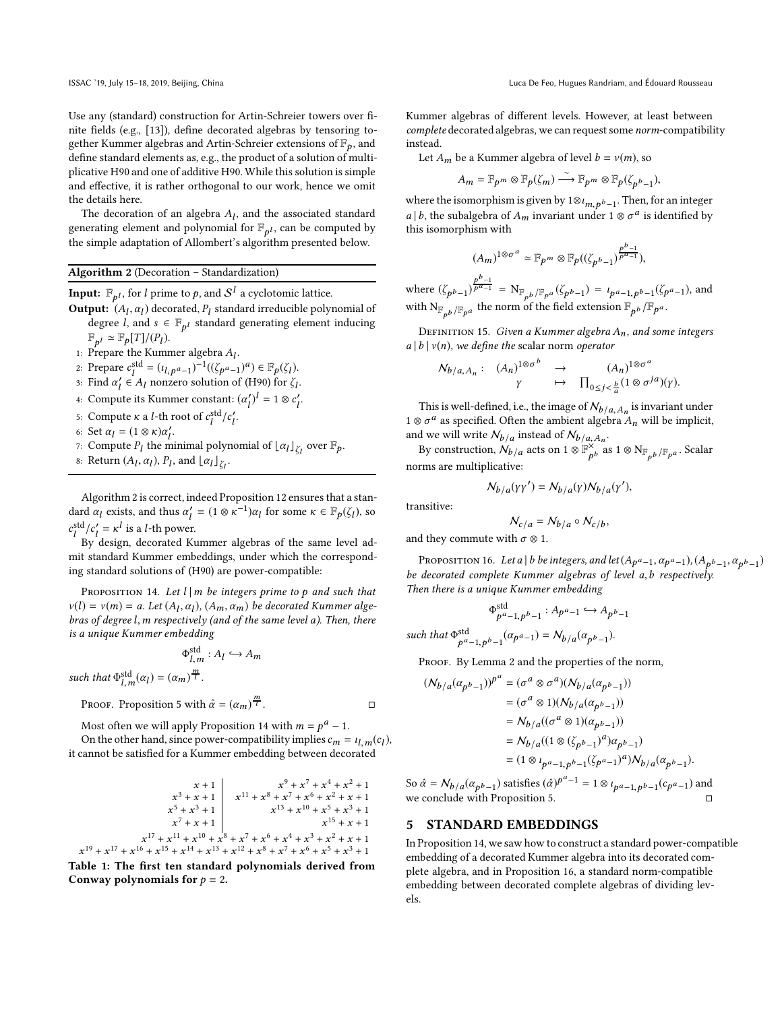Use any (standard) construction for Artin-Schreier towers over finite fields (e.g., [\[13\]](#page-8-24)), define decorated algebras by tensoring together Kummer algebras and Artin-Schreier extensions of  $\mathbb{F}_p$ , and define standard elements as, e.g., the product of a solution of multiplicative H90 and one of additive H90. While this solution is simple and effective, it is rather orthogonal to our work, hence we omit the details here.

The decoration of an algebra  $A<sub>l</sub>$ , and the associated standard generating element and polynomial for  $\mathbb{F}_{p^l}$ , can be computed by the simple adaptation of Allombert's algorithm presented below.

# <span id="page-5-2"></span>Algorithm 2 (Decoration – Standardization)

**Input:**  $\mathbb{F}_{p^l}$ , for  $l$  prime to  $p$ , and  $\mathcal{S}^I$  a cyclotomic lattice.

- **Output:**  $(A_l, \alpha_l)$  decorated,  $P_l$  standard irreducible polynomial of degree *l*, and  $s \in \mathbb{F}_{p^l}$  standard generating element inducing  $\mathbb{F}_{p^l} \simeq \mathbb{F}_p[T]/(P_l).$
- 1: Prepare the Kummer algebra  $A_l$ .
- 2: Prepare  $c_l^{\text{std}} = (\iota_{l,p} a_{-1})^{-1} ((\zeta_{p} a_{-1})^a) \in \mathbb{F}_p(\zeta_l).$
- 3: Find  $\alpha'_l \in A_l$  nonzero solution of [\(H90\)](#page-2-1) for  $\zeta_l$ .
- 4: Compute its Kummer constant:  $(\alpha_l')^l = 1 \otimes c_l'$ .
- 5: Compute *κ* a *l*-th root of  $c_l^{\text{std}}/c_l^{\prime}$ .
- 6: Set  $\alpha_l = (1 \otimes \kappa)\alpha'_l$ .
- 7: Compute  $P_l$  the minimal polynomial of  $\lfloor \alpha_l \rfloor_{\zeta_l}$  over  $\mathbb{F}_p$ .
- 8: Return  $(A_l, \alpha_l)$ ,  $P_l$ , and  $\lfloor \alpha_l \rfloor_{\zeta_l}$ .

Algorithm [2](#page-5-2) is correct, indeed Proposition [12](#page-4-3) ensures that a standard  $\alpha_l$  exists, and thus  $\alpha'_l = (1 \otimes \kappa^{-1})\alpha_l$  for some  $\kappa \in \mathbb{F}_p(\zeta_l)$ , so  $c_l^{\text{std}}/c_l' = \kappa^l$  is a *l*-th power.

By design, decorated Kummer algebras of the same level admit standard Kummer embeddings, under which the corresponding standard solutions of [\(H90\)](#page-2-1) are power-compatible:

<span id="page-5-3"></span>PROPOSITION 14. Let  $l \mid m$  be integers prime to p and such that  $v(l) = v(m) = a$ . Let  $(A_l, \alpha_l)$ ,  $(A_m, \alpha_m)$  be decorated Kummer algebras of degree l,m respectively (and of the same level a). Then, there is a unique Kummer embedding

$$
\Phi_{l,m}^{\text{std}}: A_l \hookrightarrow A_m
$$

such that  $\Phi_{l,m}^{\text{std}}(\alpha_l) = (\alpha_m)^{\frac{m}{l}}$ .

PROOF. Proposition 5 with 
$$
\hat{\alpha} = (\alpha_m)^{\frac{m}{l}}
$$
.

Most often we will apply Proposition [14](#page-5-3) with  $m = p^a - 1$ .

On the other hand, since power-compatibility implies  $c_m = u_{l,m}(c_l)$ , it cannot be satisfied for a Kummer embedding between decorated

<span id="page-5-1"></span>
$$
x + 1
$$
\n
$$
x^{3} + x + 1
$$
\n
$$
x^{5} + x^{3} + 1
$$
\n
$$
x^{5} + x^{3} + 1
$$
\n
$$
x^{7} + x + 1
$$
\n
$$
x^{11} + x^{8} + x^{7} + x^{6} + x^{2} + x + 1
$$
\n
$$
x^{13} + x^{10} + x^{5} + x^{3} + 1
$$
\n
$$
x^{15} + x + 1
$$
\n
$$
x^{17} + x^{11} + x^{10} + x^{8} + x^{7} + x^{6} + x^{4} + x^{3} + x^{2} + x + 1
$$
\n
$$
x^{19} + x^{17} + x^{16} + x^{15} + x^{14} + x^{13} + x^{12} + x^{8} + x^{7} + x^{6} + x^{5} + x^{3} + 1
$$
\nTable 1: The first ten standard polynomials derived from

Table 1: The first ten standard polynomials derived from Conway polynomials for  $p = 2$ .

Kummer algebras of different levels. However, at least between complete decorated algebras, we can request some norm-compatibility instead.

Let  $A_m$  be a Kummer algebra of level  $b = v(m)$ , so

$$
A_m = \mathbb{F}_{p^m} \otimes \mathbb{F}_p(\zeta_m) \stackrel{\sim}{\longrightarrow} \mathbb{F}_{p^m} \otimes \mathbb{F}_p(\zeta_{p^b-1}),
$$

where the isomorphism is given by 1⊗ $\iota_{m,\,p^b-1}.$  Then, for an integer *a* | *b*, the subalgebra of  $A_m$  invariant under 1  $\otimes \sigma^a$  is identified by this isomorphism with

$$
(A_m)^{1\otimes \sigma^a} \simeq \mathbb{F}_{p^m} \otimes \mathbb{F}_p((\zeta_{p^b-1})^{\frac{p^b-1}{p^a-1}}),
$$

where  $(\zeta_{p^b-1})^{\frac{p^b-1}{p^a-1}} = N_{\mathbb{F}_{p^b}/\mathbb{F}_{p^a}}(\zeta_{p^b-1}) = \iota_{p^a-1, p^b-1}(\zeta_{p^a-1})$ , and with  $\mathrm{N}_{\mathbb{F}_{p^b}/\mathbb{F}_{p^a}}$  the norm of the field extension  $\mathbb{F}_{p^b}/\mathbb{F}_{p^a}$ .

DEFINITION 15. Given a Kummer algebra  $A_n$ , and some integers  $a | b | v(n)$ , we define the scalar norm operator

$$
\begin{array}{ccc}\nN_{b/a,A_n}: & (A_n)^{1 \otimes \sigma^b} & \to & (A_n)^{1 \otimes \sigma^a} \\
\gamma & \mapsto & \prod_{0 \le j < \frac{h}{a}} (1 \otimes \sigma^{ja})(\gamma).\n\end{array}
$$

This is well-defined, i.e., the image of  $\mathcal{N}_{b/a,A_n}$  is invariant under  $1 \otimes \sigma^a$  as specified. Often the ambient algebra  $A_n$  will be implicit, and we will write  $N_{b/a}$  instead of  $N_{b/a,A_n}$ .

By construction,  $\mathcal{N}_{b/a}$  acts on 1 ⊗  $\mathbb{F}_{b}^{\times}$  $\frac{\partial}{\partial p}$  as 1 ⊗ N $_{\mathbb{F}_{p^b}/\mathbb{F}_{p^a}}$ . Scalar norms are multiplicative:

$$
N_{b/a}(\gamma\gamma') = N_{b/a}(\gamma)N_{b/a}(\gamma'),
$$

transitive:

such

$$
N_{c/a} = N_{b/a} \circ N_{c/b},
$$

and they commute with  $\sigma \otimes 1$ .

<span id="page-5-4"></span>Proposition 16. Let a|b be integers, and let  $(A_{p^a-1}, a_{p^a-1}), (A_{p^b-1}, a_{p^b-1})$ be decorated complete Kummer algebras of level a, b respectively. Then there is a unique Kummer embedding

$$
\Phi_{p^a-1, p^b-1}^{\text{std}} : A_{p^a-1} \hookrightarrow A_{p^b-1}
$$
  
that 
$$
\Phi_{p^a-1, p^b-1}^{\text{std}}(\alpha_{p^a-1}) = N_{b/a}(\alpha_{p^b-1}).
$$

PROOF. By Lemma [2](#page-3-1) and the properties of the norm,

$$
\begin{aligned} (N_{b/a}(\alpha_{p^{b}-1}))^{p^{a}} & = (\sigma^{a} \otimes \sigma^{a})(N_{b/a}(\alpha_{p^{b}-1})) \\ & = (\sigma^{a} \otimes 1)(N_{b/a}(\alpha_{p^{b}-1})) \\ & = N_{b/a}((\sigma^{a} \otimes 1)(\alpha_{p^{b}-1})) \\ & = N_{b/a}((1 \otimes (\zeta_{p^{b}-1})^{a})\alpha_{p^{b}-1}) \\ & = (1 \otimes \iota_{p^{a}-1,p^{b}-1}(\zeta_{p^{a}-1})^{a})N_{b/a}(\alpha_{p^{b}-1}). \end{aligned}
$$

So  $\hat{\alpha} = N_{b/a} (\alpha_{p^b-1})$  satisfies  $(\hat{\alpha})^{p^a-1} = 1 \otimes \iota_{p^a-1, p^b-1} (c_{p^a-1})$  and we conclude with Proposition [5.](#page-3-2)

#### <span id="page-5-0"></span>5 STANDARD EMBEDDINGS

In Proposition [14,](#page-5-3) we saw how to construct a standard power-compatible embedding of a decorated Kummer algebra into its decorated complete algebra, and in Proposition [16,](#page-5-4) a standard norm-compatible embedding between decorated complete algebras of dividing levels.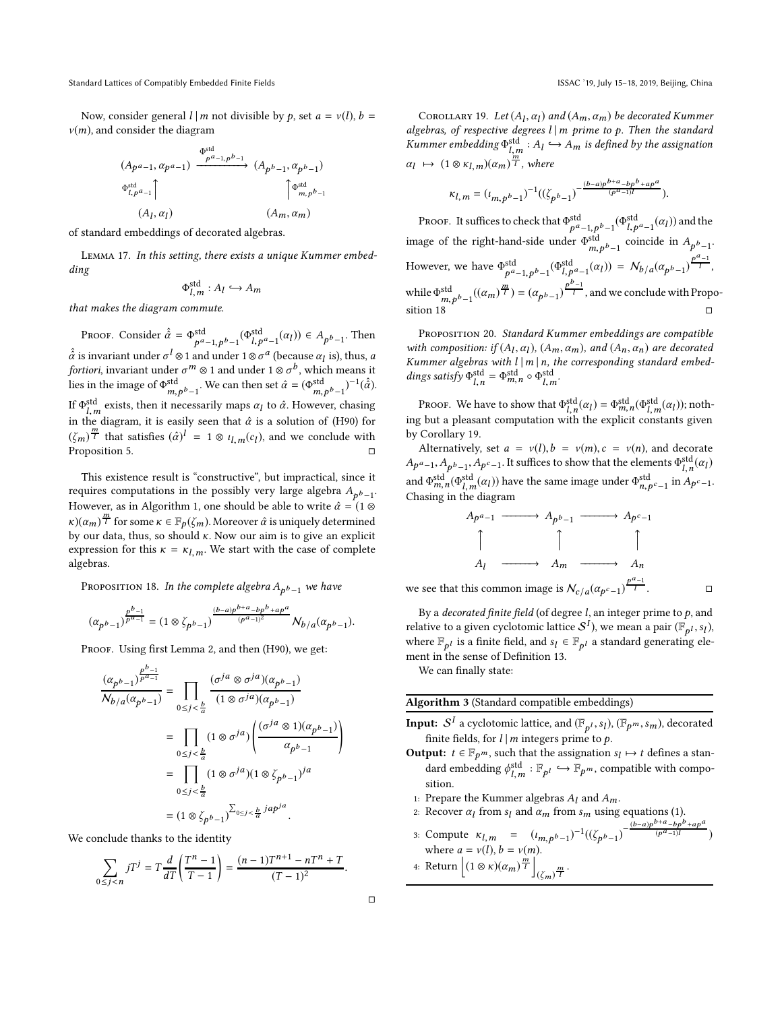Now, consider general  $l \mid m$  not divisible by p, set  $a = v(l)$ ,  $b =$  $v(m)$ , and consider the diagram

$$
(A_{p^a-1}, \alpha_{p^a-1}) \xrightarrow{\Phi_{p^a-1,p^b-1}^{\text{odd}}} (A_{p^b-1}, \alpha_{p^b-1})
$$
  

$$
\Phi_{l,p^a-1}^{\text{std}} \uparrow \qquad \qquad \uparrow \Phi_{m,p^b-1}^{\text{odd}}
$$
  

$$
(A_l, \alpha_l) \qquad \qquad (A_m, \alpha_m)
$$

of standard embeddings of decorated algebras.

Lemma 17. In this setting, there exists a unique Kummer embedding

$$
\Phi_{l,m}^{\text{std}}: A_l \hookrightarrow A_m
$$

that makes the diagram commute.

Proof. Consider  $\hat{\hat{\alpha}} = \Phi_{\hat{\alpha}}^{\text{std}}$ std  $p^{a}-1, p^{b}-1$  ( $\Phi_{l,p}^{\text{std}}(a_{l})$ )  $\in A_{p^{b}-1}$ . Then  $\hat{\hat{\alpha}}$  is invariant under  $\sigma^l \otimes 1$  and under  $1 \otimes \sigma^a$  (because  $\alpha_l$  is), thus,  $a$ *fortiori*, invariant under  $\sigma^m \otimes 1$  and under  $1 \otimes \sigma^b$ , which means it lies in the image of  $\Phi_{m,p^b-1}^{\text{std}}$ . We can then set  $\hat{\alpha} = (\Phi_{m,p^b-1}^{\text{std}})^{-1}(\hat{\hat{\alpha}})$ . If  $\Phi_{l,m}^{\rm std}$  exists, then it necessarily maps  $\alpha_l$  to  $\hat{\alpha}$ . However, chasing in the diagram, it is easily seen that  $\hat{\alpha}$  is a solution of [\(H90\)](#page-2-1) for  $(\zeta_m)^{\frac{m}{l}}$  that satisfies  $(\hat{\alpha})^l = 1 \otimes \iota_{l,m}(c_l)$ , and we conclude with Proposition [5.](#page-3-2)

This existence result is "constructive", but impractical, since it requires computations in the possibly very large algebra  $A_{p^b-1}$ . However, as in Algorithm [1,](#page-4-1) one should be able to write  $\hat{\alpha} = (1 \otimes$  $\kappa$ )( $\alpha$ <sub>m</sub>)  $^{\frac{m}{l}}$  for some  $\kappa \in \mathbb{F}_p(\zeta_m)$ . Moreover  $\hat{\alpha}$  is uniquely determined by our data, thus, so should  $\kappa$ . Now our aim is to give an explicit expression for this  $\kappa = \kappa_{l,m}$ . We start with the case of complete algebras.

<span id="page-6-0"></span>Proposition 18. In the complete algebra  $A_{p^b-1}$  we have

$$
(\alpha_{p^{b}-1})^{\frac{p^{b}-1}{p^{a}-1}}=(1\otimes\zeta_{p^{b}-1})^{\frac{(b-a)p^{b+a}-bp^{b}+ap^{a}}{(p^{a}-1)^{2}}}N_{b/a}(\alpha_{p^{b}-1}).
$$

PROOF. Using first Lemma [2,](#page-3-1) and then [\(H90\)](#page-2-1), we get:

$$
\frac{(\alpha_{p^{b}-1})^{\frac{p^{o}-1}{p^{a}-1}}}{N_{b/a}(\alpha_{p^{b}-1})} = \prod_{0 \le j < \frac{b}{a}} \frac{(\sigma^{ja} \otimes \sigma^{ja})(\alpha_{p^{b}-1})}{(1 \otimes \sigma^{ja})(\alpha_{p^{b}-1})}
$$

$$
= \prod_{0 \le j < \frac{b}{a}} (1 \otimes \sigma^{ja}) \left( \frac{(\sigma^{ja} \otimes 1)(\alpha_{p^{b}-1})}{\alpha_{p^{b}-1}} \right)
$$

$$
= \prod_{0 \le j < \frac{b}{a}} (1 \otimes \sigma^{ja})(1 \otimes \zeta_{p^{b}-1})^{ja}
$$

$$
= (1 \otimes \zeta_{p^{b}-1})^{\sum_{0 \le j < \frac{b}{a}} jap^{ja}.
$$

We conclude thanks to the identity

 $\mathbf{h}$ 

$$
\sum_{0 \le j < n} jT^j = T \frac{d}{dT} \left( \frac{T^n - 1}{T - 1} \right) = \frac{(n - 1)T^{n+1} - nT^n + T}{(T - 1)^2}.
$$

<span id="page-6-1"></span>COROLLARY 19. Let  $(A_l, \alpha_l)$  and  $(A_m, \alpha_m)$  be decorated Kummer algebras, of respective degrees  $l \mid m$  prime to p. Then the standard Kummer embedding  $\Phi^{\text{std}}_{l,m} : A_l \hookrightarrow A_m$  is defined by the assignation  $\alpha_l \mapsto (1 \otimes \kappa_{l,m})(\alpha_m)^{\frac{m}{l}}$ , where

$$
\kappa_{l,m} = (\iota_{m,p^{b}-1})^{-1}((\zeta_{p^{b}-1})^{-\frac{(b-a)p^{b+a}-bp^{b}+ap^{a}}{(p^{a}-1)l}}).
$$

Proof. It suffices to check that  $\Phi_{sd}^{std}$ std  $p^{a}-1$ ,  $p^{b}-1$   $(\Phi_{l,p}^{\mathrm{std}}(a_{l}))$  and the image of the right-hand-side under  $\Phi_{m,pb-1}^{\text{std}}$  coincide in  $A_{p^b-1}$ . However, we have  $\Phi_{s,a}^{\text{std}}$ std<br>  $p^{a}-1, p^{b}-1$  ( $\Phi_{l,p}^{\text{std}}(a_{l})$ ) =  $N_{b/a}(a_{p^{b}-1})^{\frac{p^{a}-1}{l}},$ while  $\Phi_{m,p}^{\text{std}}(\alpha_m)^{\frac{m}{l}}) = (\alpha_{p^b-1})^{\frac{p^b-1}{l}}$ , and we conclude with Proposition  $18$ 

<span id="page-6-2"></span>Proposition 20. Standard Kummer embeddings are compatible with composition: if  $(A_l, \alpha_l)$ ,  $(A_m, \alpha_m)$ , and  $(A_n, \alpha_n)$  are decorated Kummer algebras with  $l \mid m \mid n$ , the corresponding standard embeddings satisfy  $\Phi_{l,n}^{\mathrm{std}} = \Phi_{m,n}^{\mathrm{std}} \circ \Phi_{l,m}^{\mathrm{std}}$ .

Proof. We have to show that  $\Phi_{l,n}^{\text{std}}(\alpha_l) = \Phi_{m,n}^{\text{std}}(\Phi_{l,m}^{\text{std}}(\alpha_l));$  nothing but a pleasant computation with the explicit constants given by Corollary [19.](#page-6-1)

Alternatively, set  $a = v(l)$ ,  $b = v(m)$ ,  $c = v(n)$ , and decorate  $A_{p^a-1},A_{p^b-1},A_{p^c-1}.$  It suffices to show that the elements  $\Phi^{\mathrm{std}}_{l,n}(\alpha_l)$ and  $\Phi^{\text{std}}_{m,n}(\Phi^{\text{std}}_{l,m}(\alpha_l))$  have the same image under  $\Phi^{\text{std}}_{n,p^c-1}$  in  $A_{p^c-1}$ . Chasing in the diagram

$$
A_{p^a-1} \longrightarrow A_{p^b-1} \longrightarrow A_{p^c-1}
$$
\n
$$
\uparrow \qquad \qquad \uparrow
$$
\n
$$
A_l \longrightarrow A_m \longrightarrow A_n
$$
\nwe see that this common image is  $\mathcal{N}_{c/a}(\alpha_{p^c-1})^{\frac{p^a-1}{l}}$ .

By a *decorated finite field* (of degree  $l$ , an integer prime to  $p$ , and relative to a given cyclotomic lattice  $\mathcal{S}^{I}$ ), we mean a pair  $(\mathbb{F}_{p^I}, s_I)$ , where  $\mathbb{F}_{p^l}$  is a finite field, and  $s_l \in \mathbb{F}_{p^l}$  a standard generating element in the sense of Definition [13.](#page-4-4)

<span id="page-6-3"></span>We can finally state:

Algorithm 3 (Standard compatible embeddings)

- **Input:**  $\mathcal{S}^I$  a cyclotomic lattice, and  $(\mathbb{F}_{p^I}, s_I)$ ,  $(\mathbb{F}_{p^m}, s_m)$ , decorated finite fields, for  $l \mid m$  integers prime to  $p$ .
- **Output:**  $t \in \mathbb{F}_{p^m}$ , such that the assignation  $s_l \mapsto t$  defines a standard embedding  $\phi^{\text{std}}_{l,m} : \mathbb{F}_{p^l} \hookrightarrow \mathbb{F}_{p^m}$ , compatible with composition.
- 1: Prepare the Kummer algebras  $A_l$  and  $A_m$ .
- 2: Recover  $\alpha_l$  from  $s_l$  and  $\alpha_m$  from  $s_m$  using equations [\(1\)](#page-3-6). (b−a)p  $b+a$ <sub>-bp</sub> $b$ <sub>+ap</sub>a
- 3: Compute  $\kappa_{l,m} = (\iota_{m,p^{b}-1})^{-1}((\zeta_{p^{b}-1})^{-1})$  $(p^{\alpha}-1)$ l ) where  $a = v(l)$ ,  $b = v(m)$ . 4: Return  $|(1 \otimes \kappa)(\alpha_m)^{\frac{m}{l}}|$  $\left(\zeta_m\right)^{\frac{m}{l}}$ .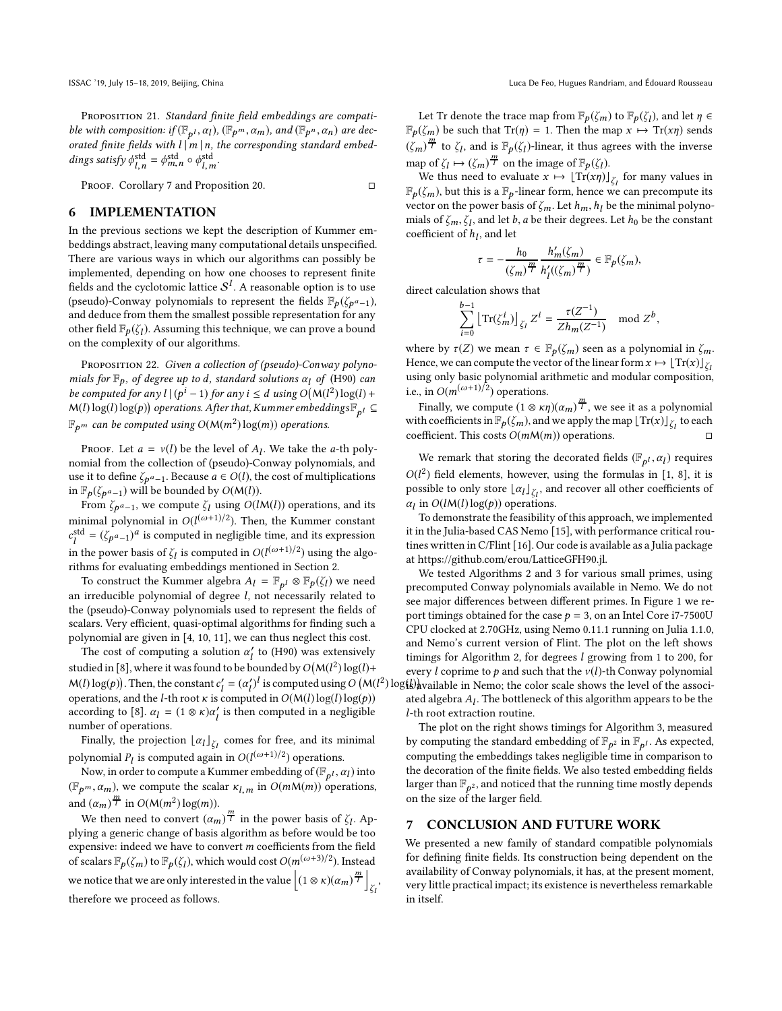PROPOSITION 21. Standard finite field embeddings are compatible with composition: if  $(\mathbb{F}_{p^l}, \alpha_l)$ ,  $(\mathbb{F}_{p^m}, \alpha_m)$ , and  $(\mathbb{F}_{p^n}, \alpha_n)$  are decorated finite fields with  $l \mid m \mid n$ , the corresponding standard embeddings satisfy  $\phi_{l,n}^{\text{std}} = \phi_{m,n}^{\text{std}} \circ \phi_{l,m}^{\text{std}}$ .

<span id="page-7-0"></span>PROOF. Corollary [7](#page-3-4) and Proposition [20.](#page-6-2)

# 6 IMPLEMENTATION

In the previous sections we kept the description of Kummer embeddings abstract, leaving many computational details unspecified. There are various ways in which our algorithms can possibly be implemented, depending on how one chooses to represent finite fields and the cyclotomic lattice  $\mathcal{S}^{I}$ . A reasonable option is to use (pseudo)-Conway polynomials to represent the fields  $\mathbb{F}_p(\zeta_{p^a-1})$ , and deduce from them the smallest possible representation for any other field  $\mathbb{F}_p(\zeta_l)$ . Assuming this technique, we can prove a bound on the complexity of our algorithms.

PROPOSITION 22. Given a collection of (pseudo)-Conway polynomials for  $\mathbb{F}_p$ , of degree up to d, standard solutions  $\alpha_l$  of [\(H90\)](#page-2-1) can be computed for any  $l \mid (p^i - 1)$  for any  $i \le d$  using  $O(M(l^2) \log(l) +$  $M(l)\log(l)\log(p))$  operations. After that, Kummer embeddings  $\mathbb{F}_{p^l}\subseteq$  $\mathbb{F}_{p^m}$  can be computed using  $O(M(m^2)\log(m))$  operations.

PROOF. Let  $a = v(l)$  be the level of  $A_l$ . We take the a-th polynomial from the collection of (pseudo)-Conway polynomials, and use it to define  $\zeta_{\bm p^a-1}$ . Because  $a \in O(l)$ , the cost of multiplications in  $\mathbb{F}_p(\zeta_{p^a-1})$  will be bounded by  $O(M(l))$ .

From  $\zeta_{p^a-1}$ , we compute  $\zeta_l$  using  $O(l{\sf M}(l))$  operations, and its minimal polynomial in  $O(l^{(\omega+1)/2})$ . Then, the Kummer constant  $c_l^{\text{std}} = (\zeta_{p^a-1})^a$  is computed in negligible time, and its expression in the power basis of  $\zeta_l$  is computed in  $O(l^{(\omega+1)/2})$  using the algorithms for evaluating embeddings mentioned in Section [2.](#page-1-0)

To construct the Kummer algebra  $A_l = \mathbb{F}_{p^l} \otimes \mathbb{F}_p(\zeta_l)$  we need an irreducible polynomial of degree l, not necessarily related to the (pseudo)-Conway polynomials used to represent the fields of scalars. Very efficient, quasi-optimal algorithms for finding such a polynomial are given in [\[4,](#page-8-25) [10](#page-8-26), [11\]](#page-8-12), we can thus neglect this cost.

The cost of computing a solution  $\alpha'_{l}$  to [\(H90\)](#page-2-1) was extensively studied in [\[8](#page-8-2)], where it was found to be bounded by  $O(M(l^2) \log(l) +$  $M(l) \log(p)$ . Then, the constant  $c'_l = (\alpha'_l)^l$  is computed using  $O(M(l^2) \log(l))$  vailable in Nemo; the color scale shows the level of the associoperations, and the *l*-th root  $\kappa$  is computed in  $O(M(l)\log(l)\log(p))$ according to [\[8\]](#page-8-2).  $\alpha_l = (1 \otimes \kappa)\alpha'_l$  is then computed in a negligible number of operations.

Finally, the projection  $\lfloor \alpha_l \rfloor_{\zeta_l}$  comes for free, and its minimal polynomial  $P_l$  is computed again in  $O(l^{(\omega+1)/2})$  operations.

Now, in order to compute a Kummer embedding of  $(\mathbb{F}_{p^l}, \alpha_l)$  into  $(\mathbb{F}_{p^m}, \alpha_m)$ , we compute the scalar  $\kappa_{l,m}$  in  $O(m\mathcal{M}(m))$  operations, and  $(\alpha_m)^{\frac{m}{l}}$  in  $O(M(m^2) \log(m))$ .

We then need to convert  $(\alpha_m)^{\frac{m}{l}}$  in the power basis of  $\zeta_l$ . Applying a generic change of basis algorithm as before would be too expensive: indeed we have to convert m coefficients from the field of scalars  $\mathbb{F}_p(\zeta_m)$  to  $\mathbb{F}_p(\zeta_l)$ , which would cost  $O(m^{(\omega+3)/2})$ . Instead we notice that we are only interested in the value  $\left| (1 \otimes \kappa)(\alpha_m)^{\frac{m}{l}} \right|$ ζl , therefore we proceed as follows.

Let Tr denote the trace map from  $\mathbb{F}_p(\zeta_m)$  to  $\mathbb{F}_p(\zeta_l)$ , and let  $\eta \in$  $\mathbb{F}_p(\zeta_m)$  be such that  $\text{Tr}(\eta) = 1$ . Then the map  $x \mapsto \text{Tr}(x\eta)$  sends  $(\zeta_m)^{\frac{m}{l}}$  to  $\zeta_l$ , and is  $\mathbb{F}_p(\zeta_l)$ -linear, it thus agrees with the inverse map of  $\zeta_l \mapsto (\zeta_m)^{\frac{m}{l}}$  on the image of  $\mathbb{F}_p(\zeta_l)$ .

We thus need to evaluate  $x \mapsto \lfloor \text{Tr}(x\eta) \rfloor_{\zeta_I}$  for many values in  $\mathbb{F}_p(\zeta_m)$ , but this is a  $\mathbb{F}_p$ -linear form, hence we can precompute its vector on the power basis of  $\zeta_m$ . Let  $h_m, h_l$  be the minimal polynomials of  $\zeta_m, \zeta_l$ , and let b, a be their degrees. Let  $h_0$  be the constant coefficient of  $h_l$ , and let

$$
\tau=-\frac{h_0}{(\zeta_m)^{\frac{m}{l}}}\frac{h'_m(\zeta_m)}{h'_l((\zeta_m)^{\frac{m}{l}})}\in \mathbb{F}_p(\zeta_m),
$$

direct calculation shows that

$$
\sum_{i=0}^{b-1} \left[ \text{Tr}(\zeta_m^i) \right]_{\zeta_l} Z^i = \frac{\tau(Z^{-1})}{Z h_m(Z^{-1})} \mod Z^b,
$$

where by  $\tau(Z)$  we mean  $\tau \in \mathbb{F}_p(\zeta_m)$  seen as a polynomial in  $\zeta_m$ . Hence, we can compute the vector of the linear form  $x \mapsto [\text{Tr}(x)]_{\zeta_1}$ using only basic polynomial arithmetic and modular composition, i.e., in  $O(m^{(\omega+1)/2})$  operations.

Finally, we compute  $(1 \otimes \kappa \eta)(\alpha_m)^{\frac{m}{l}}$ , we see it as a polynomial with coefficients in  $\mathbb{F}_p(\zeta_m)$ , and we apply the map  $\lfloor \text{Tr}(x)\rfloor_{\zeta_I}$  to each coefficient. This costs  $O(mM(m))$  operations.

We remark that storing the decorated fields  $(\mathbb{F}_{p^l}, \alpha_l)$  requires  $O(l^2)$  field elements, however, using the formulas in [\[1,](#page-8-1) [8](#page-8-2)], it is possible to only store  $\lfloor \alpha_l \rfloor_{\zeta_l}$ , and recover all other coefficients of  $\alpha_l$  in  $O(lM(l)\log(p))$  operations.

To demonstrate the feasibility of this approach, we implemented it in the Julia-based CAS Nemo [\[15](#page-8-27)], with performance critical routines written in C/Flint [\[16](#page-8-28)]. Our code is available as a Julia package at [https://github.com/erou/LatticeGFH90.jl.](https://github.com/erou/LatticeGFH90.jl)

We tested Algorithms [2](#page-5-2) and [3](#page-6-3) for various small primes, using precomputed Conway polynomials available in Nemo. We do not see major differences between different primes. In Figure [1](#page-8-29) we report timings obtained for the case  $p = 3$ , on an Intel Core i7-7500U CPU clocked at 2.70GHz, using Nemo 0.11.1 running on Julia 1.1.0, and Nemo's current version of Flint. The plot on the left shows timings for Algorithm [2,](#page-5-2) for degrees l growing from 1 to 200, for every l coprime to p and such that the  $v(l)$ -th Conway polynomial ated algebra  $A_l$ . The bottleneck of this algorithm appears to be the l-th root extraction routine.

The plot on the right shows timings for Algorithm [3,](#page-6-3) measured by computing the standard embedding of  $\mathbb{F}_{p^2}$  in  $\mathbb{F}_{p^l}$ . As expected, computing the embeddings takes negligible time in comparison to the decoration of the finite fields. We also tested embedding fields larger than  $\mathbb{F}_{p^2}$ , and noticed that the running time mostly depends on the size of the larger field.

### 7 CONCLUSION AND FUTURE WORK

We presented a new family of standard compatible polynomials for defining finite fields. Its construction being dependent on the availability of Conway polynomials, it has, at the present moment, very little practical impact; its existence is nevertheless remarkable in itself.